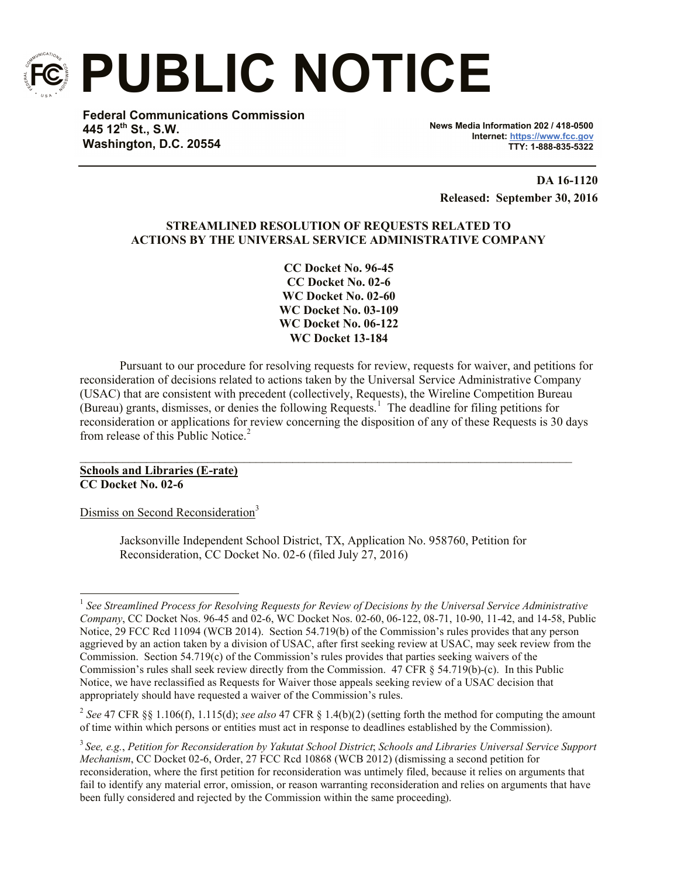

**PUBLIC NOTICE**

**Federal Communications Commission 445 12th St., S.W. Washington, D.C. 20554**

**News Media Information 202 / 418-0500 Internet: https://www.fcc.gov TTY: 1-888-835-5322**

**DA 16-1120 Released: September 30, 2016**

# **STREAMLINED RESOLUTION OF REQUESTS RELATED TO ACTIONS BY THE UNIVERSAL SERVICE ADMINISTRATIVE COMPANY**

**CC Docket No. 96-45 CC Docket No. 02-6 WC Docket No. 02-60 WC Docket No. 03-109 WC Docket No. 06-122 WC Docket 13-184**

Pursuant to our procedure for resolving requests for review, requests for waiver, and petitions for reconsideration of decisions related to actions taken by the Universal Service Administrative Company (USAC) that are consistent with precedent (collectively, Requests), the Wireline Competition Bureau (Bureau) grants, dismisses, or denies the following Requests.<sup>1</sup> The deadline for filing petitions for reconsideration or applications for review concerning the disposition of any of these Requests is 30 days from release of this Public Notice.<sup>2</sup>

**Schools and Libraries (E-rate) CC Docket No. 02-6**

Dismiss on Second Reconsideration<sup>3</sup>

Jacksonville Independent School District, TX, Application No. 958760, Petition for Reconsideration, CC Docket No. 02-6 (filed July 27, 2016)

 $\mathcal{L}_\mathcal{L} = \{ \mathcal{L}_\mathcal{L} = \{ \mathcal{L}_\mathcal{L} = \{ \mathcal{L}_\mathcal{L} = \{ \mathcal{L}_\mathcal{L} = \{ \mathcal{L}_\mathcal{L} = \{ \mathcal{L}_\mathcal{L} = \{ \mathcal{L}_\mathcal{L} = \{ \mathcal{L}_\mathcal{L} = \{ \mathcal{L}_\mathcal{L} = \{ \mathcal{L}_\mathcal{L} = \{ \mathcal{L}_\mathcal{L} = \{ \mathcal{L}_\mathcal{L} = \{ \mathcal{L}_\mathcal{L} = \{ \mathcal{L}_\mathcal{$ 

l 1 *See Streamlined Process for Resolving Requests for Review of Decisions by the Universal Service Administrative Company*, CC Docket Nos. 96-45 and 02-6, WC Docket Nos. 02-60, 06-122, 08-71, 10-90, 11-42, and 14-58, Public Notice, 29 FCC Rcd 11094 (WCB 2014). Section 54.719(b) of the Commission's rules provides that any person aggrieved by an action taken by a division of USAC, after first seeking review at USAC, may seek review from the Commission. Section 54.719(c) of the Commission's rules provides that parties seeking waivers of the Commission's rules shall seek review directly from the Commission. 47 CFR § 54.719(b)-(c). In this Public Notice, we have reclassified as Requests for Waiver those appeals seeking review of a USAC decision that appropriately should have requested a waiver of the Commission's rules.

<sup>2</sup> *See* 47 CFR §§ 1.106(f), 1.115(d); *see also* 47 CFR § 1.4(b)(2) (setting forth the method for computing the amount of time within which persons or entities must act in response to deadlines established by the Commission).

<sup>3</sup> *See, e.g.*, *Petition for Reconsideration by Yakutat School District*; *Schools and Libraries Universal Service Support Mechanism*, CC Docket 02-6, Order, 27 FCC Rcd 10868 (WCB 2012) (dismissing a second petition for reconsideration, where the first petition for reconsideration was untimely filed, because it relies on arguments that fail to identify any material error, omission, or reason warranting reconsideration and relies on arguments that have been fully considered and rejected by the Commission within the same proceeding).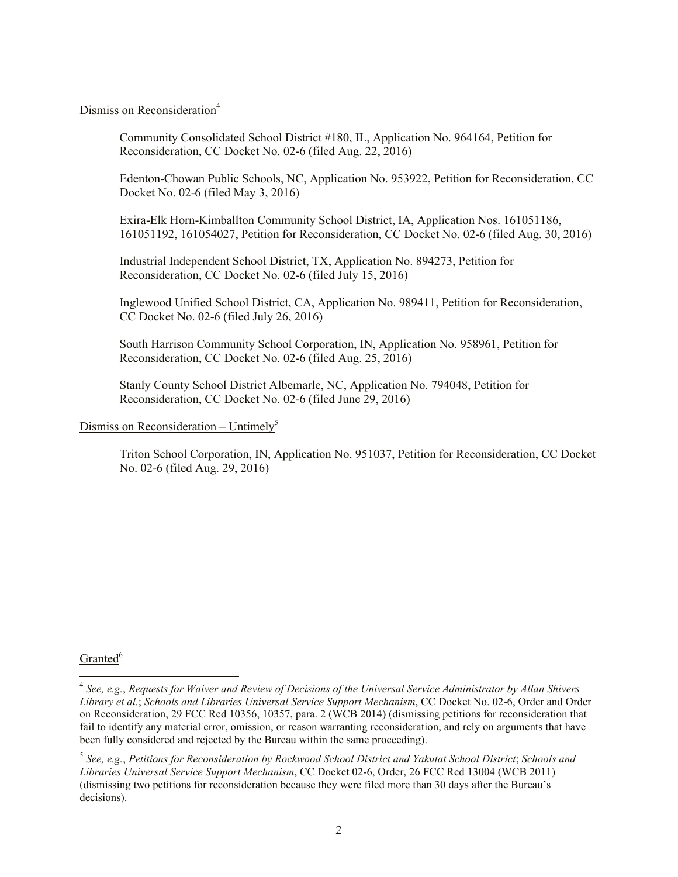# Dismiss on Reconsideration<sup>4</sup>

Community Consolidated School District #180, IL, Application No. 964164, Petition for Reconsideration, CC Docket No. 02-6 (filed Aug. 22, 2016)

Edenton-Chowan Public Schools, NC, Application No. 953922, Petition for Reconsideration, CC Docket No. 02-6 (filed May 3, 2016)

Exira-Elk Horn-Kimballton Community School District, IA, Application Nos. 161051186, 161051192, 161054027, Petition for Reconsideration, CC Docket No. 02-6 (filed Aug. 30, 2016)

Industrial Independent School District, TX, Application No. 894273, Petition for Reconsideration, CC Docket No. 02-6 (filed July 15, 2016)

Inglewood Unified School District, CA, Application No. 989411, Petition for Reconsideration, CC Docket No. 02-6 (filed July 26, 2016)

South Harrison Community School Corporation, IN, Application No. 958961, Petition for Reconsideration, CC Docket No. 02-6 (filed Aug. 25, 2016)

Stanly County School District Albemarle, NC, Application No. 794048, Petition for Reconsideration, CC Docket No. 02-6 (filed June 29, 2016)

#### Dismiss on Reconsideration – Untimely<sup>5</sup>

Triton School Corporation, IN, Application No. 951037, Petition for Reconsideration, CC Docket No. 02-6 (filed Aug. 29, 2016)

## Granted<sup>6</sup>

 $\overline{\phantom{a}}$ 

<sup>4</sup> *See, e.g.*, *Requests for Waiver and Review of Decisions of the Universal Service Administrator by Allan Shivers Library et al.*; *Schools and Libraries Universal Service Support Mechanism*, CC Docket No. 02-6, Order and Order on Reconsideration, 29 FCC Rcd 10356, 10357, para. 2 (WCB 2014) (dismissing petitions for reconsideration that fail to identify any material error, omission, or reason warranting reconsideration, and rely on arguments that have been fully considered and rejected by the Bureau within the same proceeding).

<sup>5</sup> *See, e.g.*, *Petitions for Reconsideration by Rockwood School District and Yakutat School District*; *Schools and Libraries Universal Service Support Mechanism*, CC Docket 02-6, Order, 26 FCC Rcd 13004 (WCB 2011) (dismissing two petitions for reconsideration because they were filed more than 30 days after the Bureau's decisions).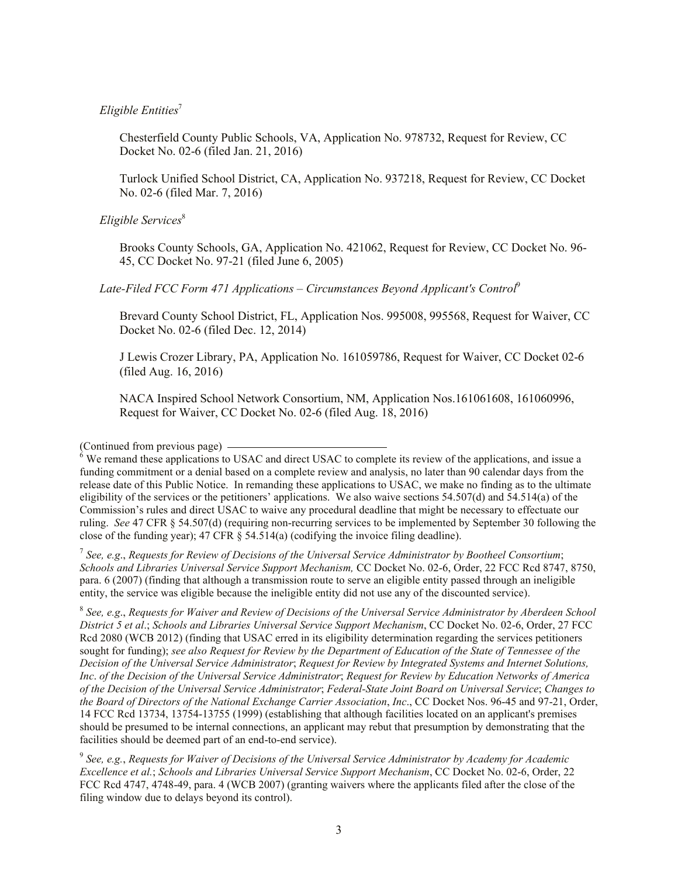### *Eligible Entities*<sup>7</sup>

Chesterfield County Public Schools, VA, Application No. 978732, Request for Review, CC Docket No. 02-6 (filed Jan. 21, 2016)

Turlock Unified School District, CA, Application No. 937218, Request for Review, CC Docket No. 02-6 (filed Mar. 7, 2016)

#### *Eligible Services*<sup>8</sup>

Brooks County Schools, GA, Application No. 421062, Request for Review, CC Docket No. 96- 45, CC Docket No. 97-21 (filed June 6, 2005)

### *Late-Filed FCC Form 471 Applications – Circumstances Beyond Applicant's Control*<sup>9</sup>

Brevard County School District, FL, Application Nos. 995008, 995568, Request for Waiver, CC Docket No. 02-6 (filed Dec. 12, 2014)

J Lewis Crozer Library, PA, Application No. 161059786, Request for Waiver, CC Docket 02-6 (filed Aug. 16, 2016)

NACA Inspired School Network Consortium, NM, Application Nos.161061608, 161060996, Request for Waiver, CC Docket No. 02-6 (filed Aug. 18, 2016)

(Continued from previous page)

7 *See, e.g*., *Requests for Review of Decisions of the Universal Service Administrator by Bootheel Consortium*; *Schools and Libraries Universal Service Support Mechanism,* CC Docket No. 02-6, Order, 22 FCC Rcd 8747, 8750, para. 6 (2007) (finding that although a transmission route to serve an eligible entity passed through an ineligible entity, the service was eligible because the ineligible entity did not use any of the discounted service).

8 *See, e.g*., *Requests for Waiver and Review of Decisions of the Universal Service Administrator by Aberdeen School District 5 et al*.; *Schools and Libraries Universal Service Support Mechanism*, CC Docket No. 02-6, Order, 27 FCC Rcd 2080 (WCB 2012) (finding that USAC erred in its eligibility determination regarding the services petitioners sought for funding); *see also Request for Review by the Department of Education of the State of Tennessee of the Decision of the Universal Service Administrator*; *Request for Review by Integrated Systems and Internet Solutions, Inc*. *of the Decision of the Universal Service Administrator*; *Request for Review by Education Networks of America of the Decision of the Universal Service Administrator*; *Federal-State Joint Board on Universal Service*; *Changes to the Board of Directors of the National Exchange Carrier Association*, *Inc*., CC Docket Nos. 96-45 and 97-21, Order, 14 FCC Rcd 13734, 13754-13755 (1999) (establishing that although facilities located on an applicant's premises should be presumed to be internal connections, an applicant may rebut that presumption by demonstrating that the facilities should be deemed part of an end-to-end service).

9 *See, e.g.*, *Requests for Waiver of Decisions of the Universal Service Administrator by Academy for Academic Excellence et al.*; *Schools and Libraries Universal Service Support Mechanism*, CC Docket No. 02-6, Order, 22 FCC Rcd 4747, 4748-49, para. 4 (WCB 2007) (granting waivers where the applicants filed after the close of the filing window due to delays beyond its control).

 $\delta$  We remand these applications to USAC and direct USAC to complete its review of the applications, and issue a funding commitment or a denial based on a complete review and analysis, no later than 90 calendar days from the release date of this Public Notice. In remanding these applications to USAC, we make no finding as to the ultimate eligibility of the services or the petitioners' applications. We also waive sections 54.507(d) and 54.514(a) of the Commission's rules and direct USAC to waive any procedural deadline that might be necessary to effectuate our ruling. *See* 47 CFR § 54.507(d) (requiring non-recurring services to be implemented by September 30 following the close of the funding year); 47 CFR § 54.514(a) (codifying the invoice filing deadline).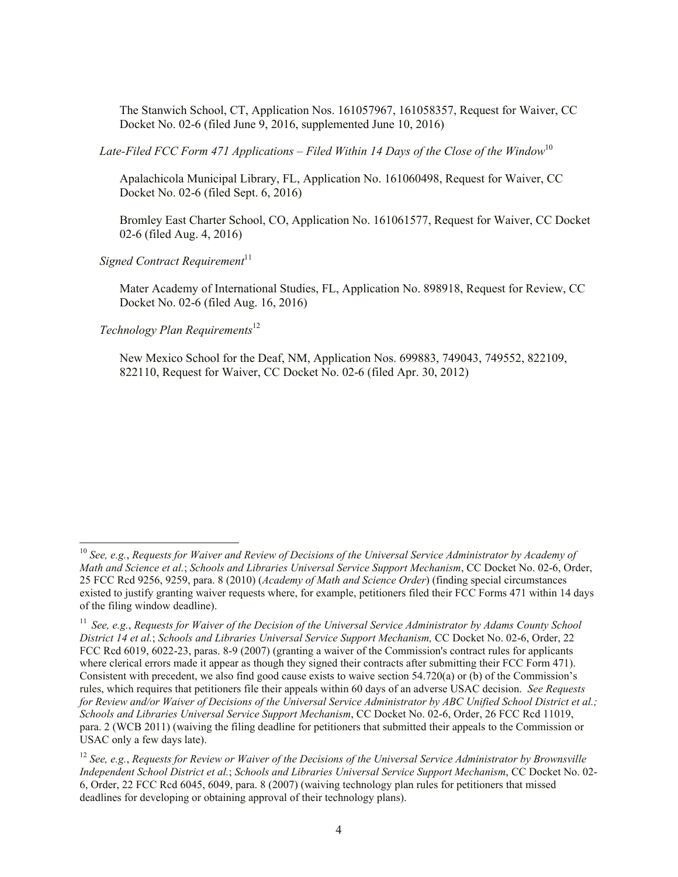The Stanwich School, CT, Application Nos. 161057967, 161058357, Request for Waiver, CC Docket No. 02-6 (filed June 9, 2016, supplemented June 10, 2016)

*Late-Filed FCC Form 471 Applications – Filed Within 14 Days of the Close of the Window*<sup>10</sup>

Apalachicola Municipal Library, FL, Application No. 161060498, Request for Waiver, CC Docket No. 02-6 (filed Sept. 6, 2016)

Bromley East Charter School, CO, Application No. 161061577, Request for Waiver, CC Docket 02-6 (filed Aug. 4, 2016)

*Signed Contract Requirement*<sup>11</sup>

Mater Academy of International Studies, FL, Application No. 898918, Request for Review, CC Docket No. 02-6 (filed Aug. 16, 2016)

*Technology Plan Requirements*<sup>12</sup>

l

New Mexico School for the Deaf, NM, Application Nos. 699883, 749043, 749552, 822109, 822110, Request for Waiver, CC Docket No. 02-6 (filed Apr. 30, 2012)

<sup>10</sup> *See, e.g.*, *Requests for Waiver and Review of Decisions of the Universal Service Administrator by Academy of Math and Science et al.*; *Schools and Libraries Universal Service Support Mechanism*, CC Docket No. 02-6, Order, 25 FCC Rcd 9256, 9259, para. 8 (2010) (*Academy of Math and Science Order*) (finding special circumstances existed to justify granting waiver requests where, for example, petitioners filed their FCC Forms 471 within 14 days of the filing window deadline).

<sup>11</sup> *See, e.g.*, *Requests for Waiver of the Decision of the Universal Service Administrator by Adams County School District 14 et al.*; *Schools and Libraries Universal Service Support Mechanism,* CC Docket No. 02-6, Order, 22 FCC Rcd 6019, 6022-23, paras. 8-9 (2007) (granting a waiver of the Commission's contract rules for applicants where clerical errors made it appear as though they signed their contracts after submitting their FCC Form 471). Consistent with precedent, we also find good cause exists to waive section 54.720(a) or (b) of the Commission's rules, which requires that petitioners file their appeals within 60 days of an adverse USAC decision. *See Requests for Review and/or Waiver of Decisions of the Universal Service Administrator by ABC Unified School District et al.; Schools and Libraries Universal Service Support Mechanism*, CC Docket No. 02-6, Order, 26 FCC Rcd 11019, para. 2 (WCB 2011) (waiving the filing deadline for petitioners that submitted their appeals to the Commission or USAC only a few days late).

<sup>12</sup> *See, e.g.*, *Requests for Review or Waiver of the Decisions of the Universal Service Administrator by Brownsville Independent School District et al.*; *Schools and Libraries Universal Service Support Mechanism*, CC Docket No. 02- 6, Order, 22 FCC Rcd 6045, 6049, para. 8 (2007) (waiving technology plan rules for petitioners that missed deadlines for developing or obtaining approval of their technology plans).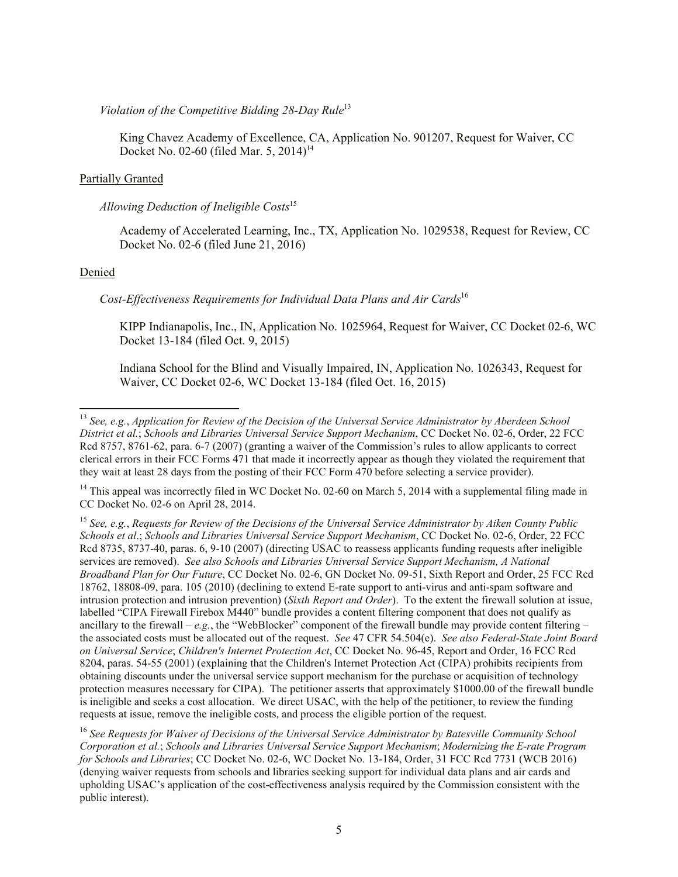*Violation of the Competitive Bidding 28-Day Rule*<sup>13</sup>

King Chavez Academy of Excellence, CA, Application No. 901207, Request for Waiver, CC Docket No. 02-60 (filed Mar. 5, 2014)<sup>14</sup>

#### Partially Granted

#### *Allowing Deduction of Ineligible Costs*<sup>15</sup>

Academy of Accelerated Learning, Inc., TX, Application No. 1029538, Request for Review, CC Docket No. 02-6 (filed June 21, 2016)

#### Denied

l

*Cost-Effectiveness Requirements for Individual Data Plans and Air Cards*<sup>16</sup>

KIPP Indianapolis, Inc., IN, Application No. 1025964, Request for Waiver, CC Docket 02-6, WC Docket 13-184 (filed Oct. 9, 2015)

Indiana School for the Blind and Visually Impaired, IN, Application No. 1026343, Request for Waiver, CC Docket 02-6, WC Docket 13-184 (filed Oct. 16, 2015)

<sup>14</sup> This appeal was incorrectly filed in WC Docket No. 02-60 on March 5, 2014 with a supplemental filing made in CC Docket No. 02-6 on April 28, 2014.

<sup>13</sup> *See, e.g.*, *Application for Review of the Decision of the Universal Service Administrator by Aberdeen School District et al.*; *Schools and Libraries Universal Service Support Mechanism*, CC Docket No. 02-6, Order, 22 FCC Rcd 8757, 8761-62, para. 6-7 (2007) (granting a waiver of the Commission's rules to allow applicants to correct clerical errors in their FCC Forms 471 that made it incorrectly appear as though they violated the requirement that they wait at least 28 days from the posting of their FCC Form 470 before selecting a service provider).

<sup>15</sup> *See, e.g.*, *Requests for Review of the Decisions of the Universal Service Administrator by Aiken County Public Schools et al*.; *Schools and Libraries Universal Service Support Mechanism*, CC Docket No. 02-6, Order, 22 FCC Rcd 8735, 8737-40, paras. 6, 9-10 (2007) (directing USAC to reassess applicants funding requests after ineligible services are removed). *See also Schools and Libraries Universal Service Support Mechanism, A National Broadband Plan for Our Future*, CC Docket No. 02-6, GN Docket No. 09-51, Sixth Report and Order, 25 FCC Rcd 18762, 18808-09, para. 105 (2010) (declining to extend E-rate support to anti-virus and anti-spam software and intrusion protection and intrusion prevention) (*Sixth Report and Order*). To the extent the firewall solution at issue, labelled "CIPA Firewall Firebox M440" bundle provides a content filtering component that does not qualify as ancillary to the firewall –  $e.g.,$  the "WebBlocker" component of the firewall bundle may provide content filtering – the associated costs must be allocated out of the request. *See* 47 CFR 54.504(e). *See also Federal-State Joint Board on Universal Service*; *Children's Internet Protection Act*, CC Docket No. 96-45, Report and Order, 16 FCC Rcd 8204, paras. 54-55 (2001) (explaining that the Children's Internet Protection Act (CIPA) prohibits recipients from obtaining discounts under the universal service support mechanism for the purchase or acquisition of technology protection measures necessary for CIPA). The petitioner asserts that approximately \$1000.00 of the firewall bundle is ineligible and seeks a cost allocation. We direct USAC, with the help of the petitioner, to review the funding requests at issue, remove the ineligible costs, and process the eligible portion of the request.

<sup>&</sup>lt;sup>16</sup> See Requests for Waiver of Decisions of the Universal Service Administrator by Batesville Community School *Corporation et al.*; *Schools and Libraries Universal Service Support Mechanism*; *Modernizing the E-rate Program for Schools and Libraries*; CC Docket No. 02-6, WC Docket No. 13-184, Order, 31 FCC Rcd 7731 (WCB 2016) (denying waiver requests from schools and libraries seeking support for individual data plans and air cards and upholding USAC's application of the cost-effectiveness analysis required by the Commission consistent with the public interest).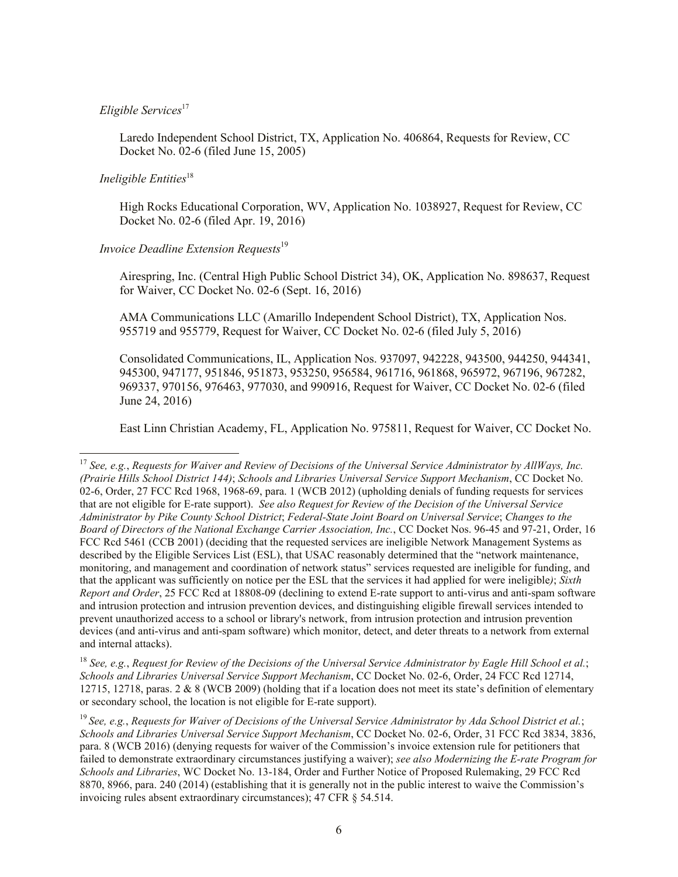#### *Eligible Services*<sup>17</sup>

Laredo Independent School District, TX, Application No. 406864, Requests for Review, CC Docket No. 02-6 (filed June 15, 2005)

# *Ineligible Entities*<sup>18</sup>

l

High Rocks Educational Corporation, WV, Application No. 1038927, Request for Review, CC Docket No. 02-6 (filed Apr. 19, 2016)

## *Invoice Deadline Extension Requests*<sup>19</sup>

Airespring, Inc. (Central High Public School District 34), OK, Application No. 898637, Request for Waiver, CC Docket No. 02-6 (Sept. 16, 2016)

AMA Communications LLC (Amarillo Independent School District), TX, Application Nos. 955719 and 955779, Request for Waiver, CC Docket No. 02-6 (filed July 5, 2016)

Consolidated Communications, IL, Application Nos. 937097, 942228, 943500, 944250, 944341, 945300, 947177, 951846, 951873, 953250, 956584, 961716, 961868, 965972, 967196, 967282, 969337, 970156, 976463, 977030, and 990916, Request for Waiver, CC Docket No. 02-6 (filed June 24, 2016)

East Linn Christian Academy, FL, Application No. 975811, Request for Waiver, CC Docket No.

<sup>18</sup> See, e.g., Request for Review of the Decisions of the Universal Service Administrator by Eagle Hill School et al.; *Schools and Libraries Universal Service Support Mechanism*, CC Docket No. 02-6, Order, 24 FCC Rcd 12714, 12715, 12718, paras. 2 & 8 (WCB 2009) (holding that if a location does not meet its state's definition of elementary or secondary school, the location is not eligible for E-rate support).

<sup>17</sup> *See, e.g.*, *Requests for Waiver and Review of Decisions of the Universal Service Administrator by AllWays, Inc. (Prairie Hills School District 144)*; *Schools and Libraries Universal Service Support Mechanism*, CC Docket No. 02-6, Order, 27 FCC Rcd 1968, 1968-69, para. 1 (WCB 2012) (upholding denials of funding requests for services that are not eligible for E-rate support). *See also Request for Review of the Decision of the Universal Service Administrator by Pike County School District*; *Federal-State Joint Board on Universal Service*; *Changes to the Board of Directors of the National Exchange Carrier Association, Inc.*, CC Docket Nos. 96-45 and 97-21, Order, 16 FCC Rcd 5461 (CCB 2001) (deciding that the requested services are ineligible Network Management Systems as described by the Eligible Services List (ESL), that USAC reasonably determined that the "network maintenance, monitoring, and management and coordination of network status" services requested are ineligible for funding, and that the applicant was sufficiently on notice per the ESL that the services it had applied for were ineligible*)*; *Sixth Report and Order*, 25 FCC Rcd at 18808-09 (declining to extend E-rate support to anti-virus and anti-spam software and intrusion protection and intrusion prevention devices, and distinguishing eligible firewall services intended to prevent unauthorized access to a school or library's network, from intrusion protection and intrusion prevention devices (and anti-virus and anti-spam software) which monitor, detect, and deter threats to a network from external and internal attacks).

<sup>19</sup> *See, e.g.*, *Requests for Waiver of Decisions of the Universal Service Administrator by Ada School District et al.*; *Schools and Libraries Universal Service Support Mechanism*, CC Docket No. 02-6, Order, 31 FCC Rcd 3834, 3836, para. 8 (WCB 2016) (denying requests for waiver of the Commission's invoice extension rule for petitioners that failed to demonstrate extraordinary circumstances justifying a waiver); *see also Modernizing the E-rate Program for Schools and Libraries*, WC Docket No. 13-184, Order and Further Notice of Proposed Rulemaking, 29 FCC Rcd 8870, 8966, para. 240 (2014) (establishing that it is generally not in the public interest to waive the Commission's invoicing rules absent extraordinary circumstances); 47 CFR § 54.514.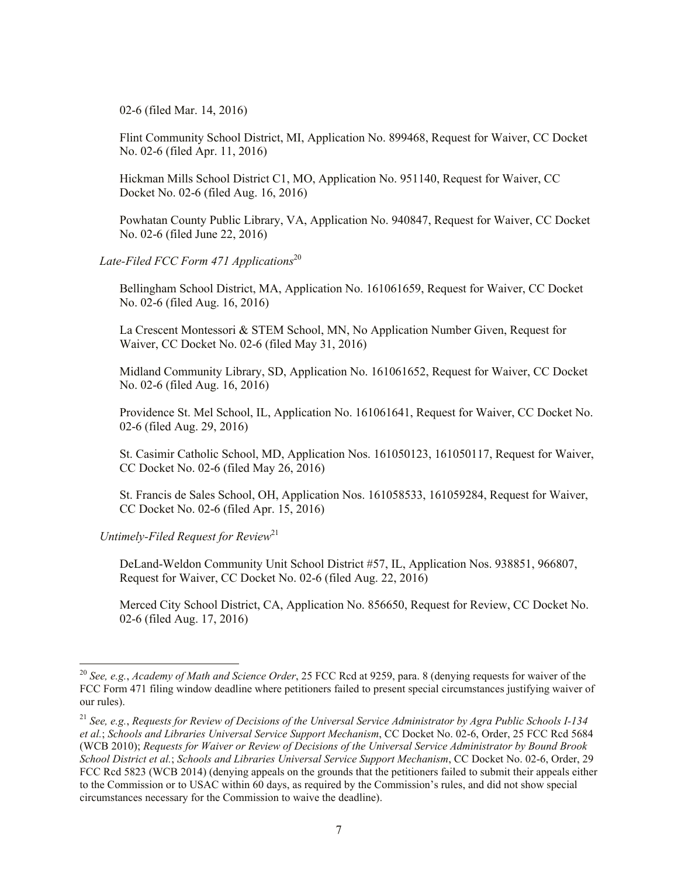02-6 (filed Mar. 14, 2016)

Flint Community School District, MI, Application No. 899468, Request for Waiver, CC Docket No. 02-6 (filed Apr. 11, 2016)

Hickman Mills School District C1, MO, Application No. 951140, Request for Waiver, CC Docket No. 02-6 (filed Aug. 16, 2016)

Powhatan County Public Library, VA, Application No. 940847, Request for Waiver, CC Docket No. 02-6 (filed June 22, 2016)

#### Late-Filed FCC Form 471 Applications<sup>20</sup>

Bellingham School District, MA, Application No. 161061659, Request for Waiver, CC Docket No. 02-6 (filed Aug. 16, 2016)

La Crescent Montessori & STEM School, MN, No Application Number Given, Request for Waiver, CC Docket No. 02-6 (filed May 31, 2016)

Midland Community Library, SD, Application No. 161061652, Request for Waiver, CC Docket No. 02-6 (filed Aug. 16, 2016)

Providence St. Mel School, IL, Application No. 161061641, Request for Waiver, CC Docket No. 02-6 (filed Aug. 29, 2016)

St. Casimir Catholic School, MD, Application Nos. 161050123, 161050117, Request for Waiver, CC Docket No. 02-6 (filed May 26, 2016)

St. Francis de Sales School, OH, Application Nos. 161058533, 161059284, Request for Waiver, CC Docket No. 02-6 (filed Apr. 15, 2016)

*Untimely-Filed Request for Review*<sup>21</sup>

l

DeLand-Weldon Community Unit School District #57, IL, Application Nos. 938851, 966807, Request for Waiver, CC Docket No. 02-6 (filed Aug. 22, 2016)

Merced City School District, CA, Application No. 856650, Request for Review, CC Docket No. 02-6 (filed Aug. 17, 2016)

<sup>20</sup> *See, e.g.*, *Academy of Math and Science Order*, 25 FCC Rcd at 9259, para. 8 (denying requests for waiver of the FCC Form 471 filing window deadline where petitioners failed to present special circumstances justifying waiver of our rules).

<sup>21</sup> *See, e.g.*, *Requests for Review of Decisions of the Universal Service Administrator by Agra Public Schools I-134 et al.*; *Schools and Libraries Universal Service Support Mechanism*, CC Docket No. 02-6, Order, 25 FCC Rcd 5684 (WCB 2010); *Requests for Waiver or Review of Decisions of the Universal Service Administrator by Bound Brook School District et al.*; *Schools and Libraries Universal Service Support Mechanism*, CC Docket No. 02-6, Order, 29 FCC Rcd 5823 (WCB 2014) (denying appeals on the grounds that the petitioners failed to submit their appeals either to the Commission or to USAC within 60 days, as required by the Commission's rules, and did not show special circumstances necessary for the Commission to waive the deadline).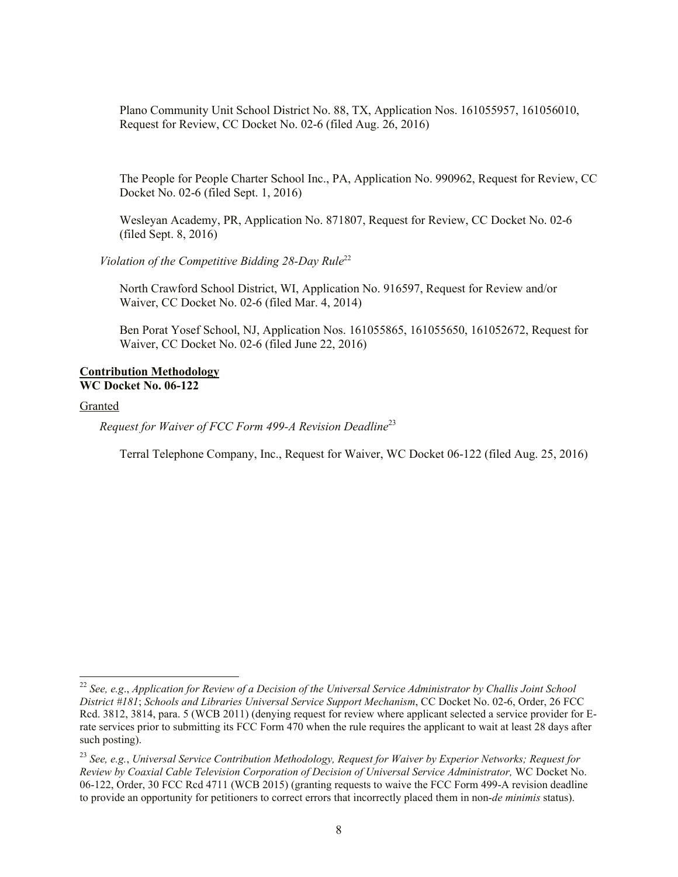Plano Community Unit School District No. 88, TX, Application Nos. 161055957, 161056010, Request for Review, CC Docket No. 02-6 (filed Aug. 26, 2016)

The People for People Charter School Inc., PA, Application No. 990962, Request for Review, CC Docket No. 02-6 (filed Sept. 1, 2016)

Wesleyan Academy, PR, Application No. 871807, Request for Review, CC Docket No. 02-6 (filed Sept. 8, 2016)

Violation of the Competitive Bidding 28-Day Rule<sup>22</sup>

North Crawford School District, WI, Application No. 916597, Request for Review and/or Waiver, CC Docket No. 02-6 (filed Mar. 4, 2014)

Ben Porat Yosef School, NJ, Application Nos. 161055865, 161055650, 161052672, Request for Waiver, CC Docket No. 02-6 (filed June 22, 2016)

#### **Contribution Methodology WC Docket No. 06-122**

#### Granted

 $\overline{\phantom{a}}$ 

*Request for Waiver of FCC Form 499-A Revision Deadline*<sup>23</sup>

Terral Telephone Company, Inc., Request for Waiver, WC Docket 06-122 (filed Aug. 25, 2016)

<sup>22</sup> *See, e.g*., *Application for Review of a Decision of the Universal Service Administrator by Challis Joint School District #181*; *Schools and Libraries Universal Service Support Mechanism*, CC Docket No. 02-6, Order, 26 FCC Rcd. 3812, 3814, para. 5 (WCB 2011) (denying request for review where applicant selected a service provider for Erate services prior to submitting its FCC Form 470 when the rule requires the applicant to wait at least 28 days after such posting).

<sup>23</sup> *See, e.g.*, *Universal Service Contribution Methodology, Request for Waiver by Experior Networks; Request for Review by Coaxial Cable Television Corporation of Decision of Universal Service Administrator,* WC Docket No. 06-122, Order, 30 FCC Rcd 4711 (WCB 2015) (granting requests to waive the FCC Form 499-A revision deadline to provide an opportunity for petitioners to correct errors that incorrectly placed them in non-*de minimis* status).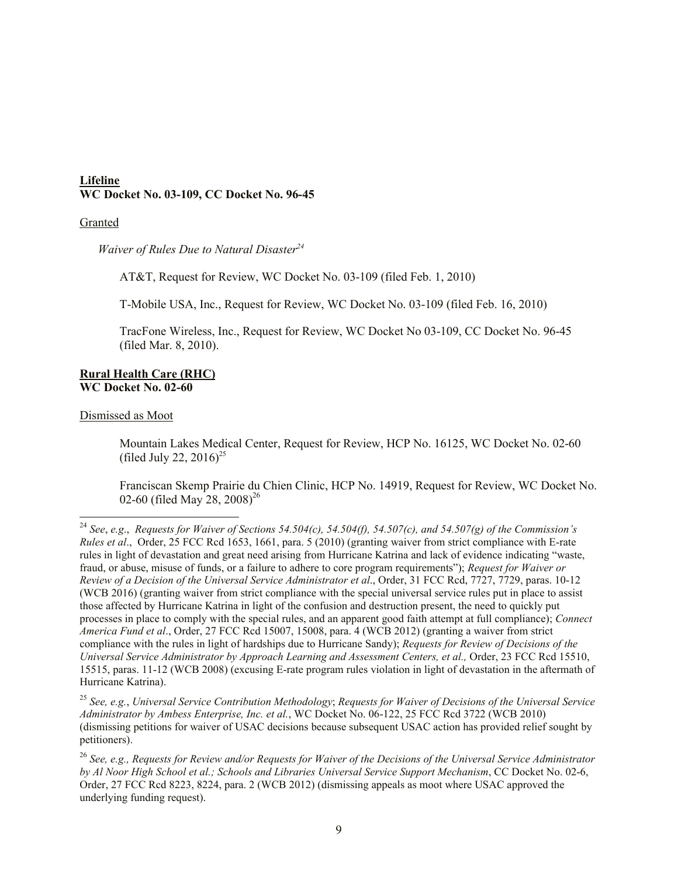### **Lifeline WC Docket No. 03-109, CC Docket No. 96-45**

#### Granted

*Waiver of Rules Due to Natural Disaster<sup>24</sup>*

AT&T, Request for Review, WC Docket No. 03-109 (filed Feb. 1, 2010)

T-Mobile USA, Inc., Request for Review, WC Docket No. 03-109 (filed Feb. 16, 2010)

TracFone Wireless, Inc., Request for Review, WC Docket No 03-109, CC Docket No. 96-45 (filed Mar. 8, 2010).

#### **Rural Health Care (RHC) WC Docket No. 02-60**

Dismissed as Moot

 $\overline{\phantom{a}}$ 

Mountain Lakes Medical Center, Request for Review, HCP No. 16125, WC Docket No. 02-60 (filed July 22, 2016)<sup>25</sup>

Franciscan Skemp Prairie du Chien Clinic, HCP No. 14919, Request for Review, WC Docket No. 02-60 (filed May 28, 2008)<sup>26</sup>

<sup>25</sup> *See, e.g.*, *Universal Service Contribution Methodology*; *Requests for Waiver of Decisions of the Universal Service Administrator by Ambess Enterprise, Inc. et al.*, WC Docket No. 06-122, 25 FCC Rcd 3722 (WCB 2010) (dismissing petitions for waiver of USAC decisions because subsequent USAC action has provided relief sought by petitioners).

<sup>24</sup> *See*, *e.g*., *Requests for Waiver of Sections 54.504(c), 54.504(f), 54.507(c), and 54.507(g) of the Commission's Rules et al*., Order, 25 FCC Rcd 1653, 1661, para. 5 (2010) (granting waiver from strict compliance with E-rate rules in light of devastation and great need arising from Hurricane Katrina and lack of evidence indicating "waste, fraud, or abuse, misuse of funds, or a failure to adhere to core program requirements"); *Request for Waiver or Review of a Decision of the Universal Service Administrator et al*., Order, 31 FCC Rcd, 7727, 7729, paras. 10-12 (WCB 2016) (granting waiver from strict compliance with the special universal service rules put in place to assist those affected by Hurricane Katrina in light of the confusion and destruction present, the need to quickly put processes in place to comply with the special rules, and an apparent good faith attempt at full compliance); *Connect America Fund et al*., Order, 27 FCC Rcd 15007, 15008, para. 4 (WCB 2012) (granting a waiver from strict compliance with the rules in light of hardships due to Hurricane Sandy); *Requests for Review of Decisions of the Universal Service Administrator by Approach Learning and Assessment Centers, et al.,* Order, 23 FCC Rcd 15510, 15515, paras. 11-12 (WCB 2008) (excusing E-rate program rules violation in light of devastation in the aftermath of Hurricane Katrina).

<sup>26</sup> *See, e.g., Requests for Review and/or Requests for Waiver of the Decisions of the Universal Service Administrator by Al Noor High School et al.; Schools and Libraries Universal Service Support Mechanism*, CC Docket No. 02-6, Order, 27 FCC Rcd 8223, 8224, para. 2 (WCB 2012) (dismissing appeals as moot where USAC approved the underlying funding request).